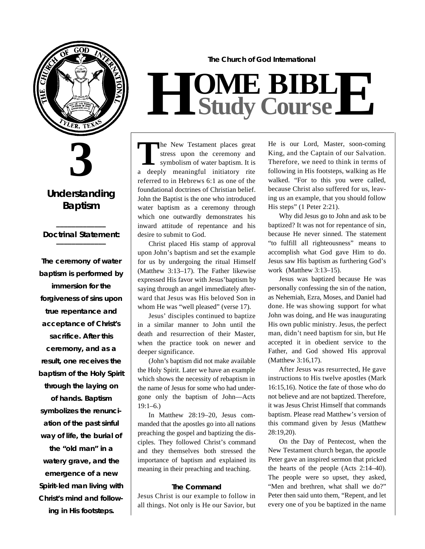



### **Understanding Baptism**

#### **\_\_\_\_\_\_\_\_\_\_\_\_\_** *Doctrinal Statement:* **\_\_\_\_\_\_\_\_\_\_\_\_\_**

**The ceremony of water baptism is performed by immersion for the**  forgiveness of sins upon **true repentance and acceptance of Christ's sacrifice. After this c e remony, and as a result, one receives the baptism of the Holy Spirit** through the laying on **of hands. Baptism**  symbolizes the renunci**ation of the past sinful way of life, the burial of the "old man" in a watery grave, and the e m e rgence of a new Spirit-led man living with Christ's mind and following in His footsteps.**

**The Church of God International**

# $H$  **Study Study Cour BIB s e L E**

The New Testament places great<br>
stress upon the ceremony and<br>
symbolism of water baptism. It is<br>
a deeply meaningful initiatory rite he New Testament places great stress upon the ceremony and symbolism of water baptism. It is referred to in Hebrews 6:1 as one of the foundational doctrines of Christian belief. John the Baptist is the one who introduced water baptism as a ceremony through which one outwardly demonstrates his inward attitude of repentance and his desire to submit to God.

Christ placed His stamp of approval upon John's baptism and set the example for us by undergoing the ritual Himself (Matthew 3:13–17). The Father likewise expressed His favor with Jesus'baptism by saying through an angel immediately afterward that Jesus was His beloved Son in whom He was "well pleased" (verse 17).

Jesus' disciples continued to baptize in a similar manner to John until the death and resurrection of their Master, when the practice took on newer and deeper significance.

(John's baptism did not make available the Holy Spirit. Later we have an example which shows the necessity of rebaptism in the name of Jesus for some who had undergone only the baptism of John—Acts  $19:1 - 6.$ 

In Matthew 28:19–20, Jesus commanded that the apostles go into all nations preaching the gospel and baptizing the disciples. They followed Christ's command and they themselves both stressed the importance of baptism and explained its meaning in their preaching and teaching.

#### **The Command**

Jesus Christ is our example to follow in all things. Not only is He our Savior, but He is our Lord, Master, soon-coming King, and the Captain of our Salvation. Therefore, we need to think in terms of following in His footsteps, walking as He walked. "For to this you were called, because Christ also suffered for us, leaving us an example, that you should follow His steps" (1 Peter 2:21).

Why did Jesus go to John and ask to be baptized? It was not for repentance of sin, because He never sinned. The statement "to fulfill all righteousness" means to accomplish what God gave Him to do. Jesus saw His baptism as furthering God's work (Matthew 3:13–15).

Jesus was baptized because He was personally confessing the sin of the nation, as Nehemiah, Ezra, Moses, and Daniel had done. He was showing support for what John was doing, and He was inaugurating His own public ministry. Jesus, the perfect man, didn't need baptism for sin, but He accepted it in obedient service to the Father, and God showed His approval (Matthew 3:16,17).

After Jesus was resurrected, He gave instructions to His twelve apostles (Mark 16:15,16). Notice the fate of those who do not believe and are not baptized. Therefore, it was Jesus Christ Himself that commands baptism. Please read Matthew's version of this command given by Jesus (Matthew  $28:19.20$ .

On the Day of Pentecost, when the New Testament church began, the apostle Peter gave an inspired sermon that pricked the hearts of the people (Acts 2:14–40). The people were so upset, they asked, "Men and brethren, what shall we do?" Peter then said unto them, "Repent, and let every one of you be baptized in the name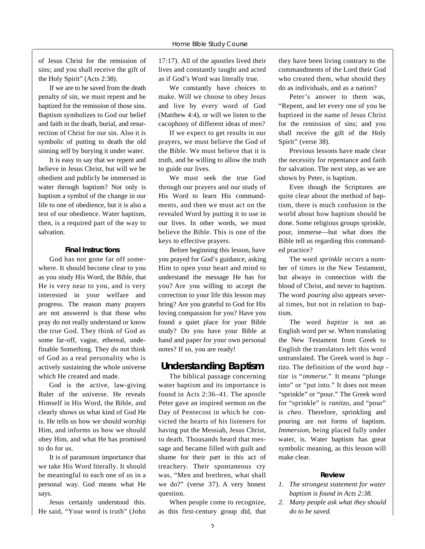of Jesus Christ for the remission of sins; and you shall receive the gift of the Holy Spirit" (Acts 2:38).

If we are to be saved from the death penalty of sin, we must repent and be baptized for the remission of those sins. Baptism symbolizes to God our belief and faith in the death, burial, and resurrection of Christ for our sin. Also it is symbolic of putting to death the old sinning self by burying it under water.

It is easy to say that we repent and believe in Jesus Christ, but will we be obedient and publicly be immersed in water through baptism? Not only is baptism a symbol of the change in our life to one of obedience, but it is also a test of our obedience. Water baptism, then, is a required part of the way to salvation.

#### **Final Instructions**

God has not gone far off somewhere. It should become clear to you as you study His Word, the Bible, that He is very near to you, and is very interested in your welfare and progress. The reason many prayers are not answered is that those who pray do not really understand or know the true God. They think of God as some far-off, vague, ethereal, undefinable Something. They do not think of God as a real personality who is actively sustaining the whole universe which He created and made.

God is the active, law-giving Ruler of the universe. He reveals Himself in His Word, the Bible, and clearly shows us what kind of God He is. He tells us how we should worship Him, and informs us how we should obey Him, and what He has promised to do for us.

It is of paramount importance that we take His Word literally. It should be meaningful to each one of us in a personal way. God means what He says.

Jesus certainly understood this. He said, "Your word is truth" (John 17:17). All of the apostles lived their lives and constantly taught and acted as if God's Word was literally true.

We constantly have choices to make. Will we choose to obey Jesus and live by every word of God (Matthew 4:4), or will we listen to the cacophony of different ideas of men?

If we expect to get results in our prayers, we must believe the God of the Bible. We must believe that it is truth, and be willing to allow the truth to guide our lives.

We must seek the true God through our prayers and our study of His Word to learn His commandments, and then we must act on the revealed Word by putting it to use in our lives. In other words, we must believe the Bible. This is one of the keys to effective prayers.

Before beginning this lesson, have you prayed for God's guidance, asking Him to open your heart and mind to understand the message He has for you? Are you willing to accept the correction to your life this lesson may bring? Are you grateful to God for His loving compassion for you? Have you found a quiet place for your Bible study? Do you have your Bible at hand and paper for your own personal notes? If so, you are ready!

#### **Understanding Baptism**

The biblical passage concerning water baptism and its importance is found in Acts 2:36–41. The apostle Peter gave an inspired sermon on the Day of Pentecost in which he convicted the hearts of his listeners for having put the Messiah, Jesus Christ, to death. Thousands heard that message and became filled with guilt and shame for their part in this act of treachery. Their spontaneous cry was, "Men and brethren, what shall we do?" (verse 37). A very honest question.

When people come to recognize, as this first-century group did, that

they have been living contrary to the commandments of the Lord their God who created them, what should they do as individuals, and as a nation?

Peter's answer to them was, "Repent, and let every one of you be baptized in the name of Jesus Christ for the remission of sins; and you shall receive the gift of the Holy Spirit" (verse 38).

Previous lessons have made clear the necessity for repentance and faith for salvation. The next step, as we are shown by Peter, is baptism.

Even though the Scriptures are quite clear about the method of baptism, there is much confusion in the world about how baptism should be done. Some religious groups sprinkle, pour, immerse—but what does the Bible tell us regarding this commanded practice?

The word *sprinkle* occurs a number of times in the New Testament, but always in connection with the blood of Christ, and never to baptism. The word *pouring* also appears several times, but not in relation to baptism.

The word *baptize* is not an English word per se. When translating the New Testament from Greek to English the translators left this word untranslated. The Greek word is *bap tizo*. The definition of the word *bap tize* is "*immerse*." It means "plunge into" or "put into." It does not mean "sprinkle" or "pour." The Greek word for "sprinkle" is *ranitzo*, and "pour" is *cheo*. Therefore, sprinkling and pouring are not forms of baptism. *Immersion*, being placed fully under water, is. Water baptism has great symbolic meaning, as this lesson will make clear.

#### **R e v i e w**

- *1. The strongest statement for water baptism is found in Acts 2:38.*
- *2. Many people ask what they should do to be saved.*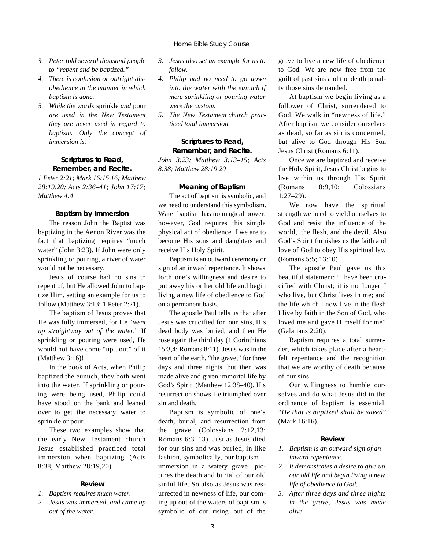- *3. Peter told several thousand people to "repent and be baptized."*
- 4. There is confusion or outright dis*obedience in the manner in which baptism is done.*
- 5. While the words sprinkle and pour *are used in the New Testament they are never used in regard to baptism. Only the concept of immersion is.*

#### **Scriptures to Read, Remember, and Recite.**

*1 Peter 2:21; Mark 16:15,16; Matthew 28:19,20; Acts 2:36–41; John 17:17; Matthew 4:4*

#### **Baptism by Immersion**

The reason John the Baptist was baptizing in the Aenon River was the fact that baptizing requires "much water" (John 3:23). If John were only sprinkling or pouring, a river of water would not be necessary.

Jesus of course had no sins to repent of, but He allowed John to baptize Him, setting an example for us to follow (Matthew 3:13; 1 Peter 2:21).

The baptism of Jesus proves that He was fully immersed, for He "*went up straightway out of the water*." If sprinkling or pouring were used, He would not have come "up...out" of it (Matthew 3:16)!

In the book of Acts, when Philip baptized the eunuch, they both went into the water. If sprinkling or pouring were being used, Philip could have stood on the bank and leaned over to get the necessary water to sprinkle or pour.

These two examples show that the early New Testament church Jesus established practiced total immersion when baptizing (Acts 8:38; Matthew 28:19,20).

#### **R e v i e w**

- *1.* Baptism requires much water.
- *2. Jesus was immersed, and came up out of the water.*
- *3. Jesus also set an example for us to follow.*
- *4. Philip had no need to go down into the water with the eunuch if mere sprinkling or pouring water were the custom.*
- *5. The New Testament church practiced total immersion.*

#### **Scriptures to Read, Remember, and Recite.**

*John 3:23; Matthew 3:13-15; Acts 8:38; Matthew 28:19,20*

#### **Meaning of Baptism**

The act of baptism is symbolic, and we need to understand this symbolism. Water baptism has no magical power; however, God requires this simple physical act of obedience if we are to become His sons and daughters and receive His Holy Spirit.

Baptism is an outward ceremony or sign of an inward repentance. It shows forth one's willingness and desire to put away his or her old life and begin living a new life of obedience to God on a permanent basis.

The apostle Paul tells us that after Jesus was crucified for our sins, His dead body was buried, and then He rose again the third day (1 Corinthians 15:3,4; Romans 8:11). Jesus was in the heart of the earth, "the grave," for three days and three nights, but then was made alive and given immortal life by God's Spirit (Matthew 12:38-40). His resurrection shows He triumphed over sin and death.

Baptism is symbolic of one's death, burial, and resurrection from the grave (Colossians 2:12,13; Romans 6:3–13). Just as Jesus died for our sins and was buried, in like fashion, symbolically, our baptism immersion in a watery grave—pictures the death and burial of our old sinful life. So also as Jesus was resurrected in newness of life, our coming up out of the waters of baptism is symbolic of our rising out of the grave to live a new life of obedience to God. We are now free from the guilt of past sins and the death penalty those sins demanded.

At baptism we begin living as a follower of Christ, surrendered to God. We walk in "newness of life." After baptism we consider ourselves as dead, so far as sin is concerned, but alive to God through His Son Jesus Christ (Romans 6:11).

Once we are baptized and receive the Holy Spirit, Jesus Christ begins to live within us through His Spirit (Romans 8:9,10; Colossians  $1:27-29$ .

We now have the spiritual strength we need to yield ourselves to God and resist the influence of the world, the flesh, and the devil. Also God's Spirit furnishes us the faith and love of God to obey His spiritual law (Romans 5:5; 13:10).

The apostle Paul gave us this beautiful statement: "I have been crucified with Christ; it is no longer I who live, but Christ lives in me; and the life which I now live in the flesh I live by faith in the Son of God, who loved me and gave Himself for me" (Galatians 2:20).

Baptism requires a total surrender, which takes place after a heartfelt repentance and the recognition that we are worthy of death because of our sins.

Our willingness to humble ourselves and do what Jesus did in the ordinance of baptism is essential. "*He that is baptized shall be saved*" (Mark 16:16).

#### **R e v i e w**

- *1. Baptism is an outward sign of an inward repentance.*
- *2. It demonstrates a desire to give up our old life and begin living a new life of obedience to God.*
- *3. After three days and three nights in the grave, Jesus was made*   $alive.$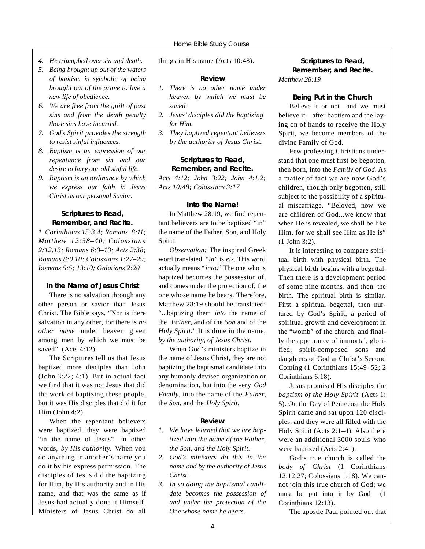- *4. He triumphed over sin and death.*
- *5. Being brought up out of the waters of baptism is symbolic of being b rought out of the grave to live a new life of obedience.*
- *6. We are free from the guilt of past sins and from the death penalty those sins have incurred.*
- *7. God's Spirit provides the strength to resist sinful influences.*
- *8. Baptism is an expression of our repentance from sin and our desire to bury our old sinful life.*
- *9. Baptism is an ordinance by which we express our faith in Jesus Christ as our personal Savior.*

#### **Scriptures to Read, Remember, and Recite.**

*1 Corinthians 15:3,4; Romans 8:11 ; Matthew 12:38–40; Colossians 2:12,13; Romans 6:3–13; Acts 2:38; Romans 8:9,10; Colossians 1:27–29; Romans 5:5; 13:10; Galatians 2:20* 

#### **In the Name of Jesus Christ**

There is no salvation through any other person or savior than Jesus Christ. The Bible says, "Nor is there salvation in any other, for there is *no other name* under heaven given among men by which we must be saved" (Acts 4:12).

The Scriptures tell us that Jesus baptized more disciples than John (John 3:22; 4:1). But in actual fact we find that it was not Jesus that did the work of baptizing these people, but it was His disciples that did it for Him (John 4:2).

When the repentant believers were baptized, they were baptized "in the name of Jesus"—in other words, *by His authority.* When you do anything in another's name you do it by his express permission. The disciples of Jesus did the baptizing for Him, by His authority and in His name, and that was the same as if Jesus had actually done it Himself. Ministers of Jesus Christ do all

things in His name (Acts 10:48).

#### **R e v i e w**

- *1. There is no other name under heaven by which we must be s a v e d .*
- 2. Jesus' disciples did the baptizing *for Him.*
- *3. They baptized repentant believers by the authority of Jesus Christ.*

#### **Scriptures to Read, Remember, and Recite.**

*Acts 4:12; John 3:22; John 4:1,2; Acts 10:48; Colossians 3:17*

#### **Into the Name!**

In Matthew 28:19, we find repentant believers are to be baptized "in" the name of the Father, Son, and Holy Spirit.

*Observation:* The inspired Greek word translated "in" is eis. This word actually means "*into*." The one who is baptized becomes the possession of, and comes under the protection of, the one whose name he bears. Therefore, Matthew 28:19 should be translated: "...baptizing them *into* the name of the *Father*, and of the *Son* and of the *Holy Spirit*." It is done in the name, *by the authority, of Jesus Christ.*

When God's ministers baptize in the name of Jesus Christ, they are not baptizing the baptismal candidate into any humanly devised organization or denomination, but into the very God *Family*, into the name of the *Father*, the *Son*, and the *Holy Spirit*.

#### **R e v i e w**

- *1. We have learned that we are baptized into the name of the Father, the Son, and the Holy Spirit.*
- 2. God's ministers do this in the *name and by the authority of Jesus*   $Christ.$
- *3. In so doing the baptismal candidate becomes the possession of and under the protection of the One whose name he bears.*

#### **Scriptures to Read, Remember, and Recite.** *Matthew 28:19*

#### **Being Put in the Church**

Believe it or not—and we must believe it—after baptism and the laying on of hands to receive the Holy Spirit, we become members of the divine Family of God.

Few professing Christians understand that one must first be begotten, then born, into the *Family of God*. As a matter of fact we are now God's children, though only begotten, still subject to the possibility of a spiritual miscarriage. "Beloved, now we are children of God...we know that when He is revealed, we shall be like Him, for we shall see Him as He is" (1 John 3:2).

It is interesting to compare spiritual birth with physical birth. The physical birth begins with a begettal. Then there is a development period of some nine months, and then the birth. The spiritual birth is similar. First a spiritual begettal, then nurtured by God's Spirit, a period of spiritual growth and development in the "womb" of the church, and finally the appearance of immortal, glorified, spirit-composed sons and daughters of God at Christ's Second Coming (1 Corinthians 15:49–52; 2 Corinthians 6:18).

Jesus promised His disciples the *baptism of the Holy Spirit* (Acts 1: 5). On the Day of Pentecost the Holy Spirit came and sat upon 120 disciples, and they were all filled with the Holy Spirit (Acts 2:1–4). Also there were an additional 3000 souls who were baptized (Acts 2:41).

God's true church is called the *body of Christ* (1 Corinthians 12:12,27; Colossians 1:18). We cannot join this true church of God; we must be put into it by God (1 Corinthians 12:13).

The apostle Paul pointed out that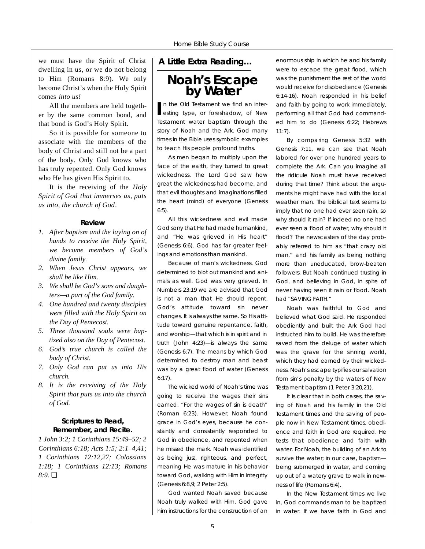we must have the Spirit of Christ dwelling in us, or we do not belong to Him (Romans 8:9). We only become Christ's when the Holy Spirit comes *into us!*

All the members are held together by the same common bond, and that bond is God's Holy Spirit.

So it is possible for someone to associate with the members of the body of Christ and still not be a part of the body. Only God knows who has truly repented. Only God knows who He has given His Spirit to.

It is the receiving of the *Holy Spirit of God that immerses us, puts us into, the church of God*.

#### **R e v i e w**

- *1. After baptism and the laying on of hands to receive the Holy Spirit, we become members of God's divine family.*
- *2. When Jesus Christ appears, we shall be like Him.*
- *3. We shall be God's sons and daughters—a part of the God family.*
- *4. One hundred and twenty disciples were filled with the Holy Spirit on the Day of Pentecost.*
- 5. Three thousand souls were bap*tized also on the Day of Pentecost.*
- *6. G o d 's true church is called the body of Christ.*
- *7. Only God can put us into His*  $church.$
- *8. It is the receiving of the Holy Spirit that puts us into the church of God.*

#### **Scriptures to Read, Remember, and Recite.**

*1 John 3:2; 1 Corinthians 15:49–52; 2 Corinthians 6:18; Acts 1:5; 2:1–4,41; 1 Corinthians 12:12,27; Colossians 1:18; 1 Corinthians 12:13; Romans 8:9.* ❏

#### *A Little Extra Reading…*

**Noah's Escape by Water**

In the Old Testament we find an interesting type, or foreshadow, of New n the Old Testament we find an inter-Testament water baptism through the story of Noah and the Ark. God many times in the Bible uses symbolic examples to teach His people profound truths.

As men began to multiply upon the face of the earth, they turned to great wickedness. The Lord God saw how great the wickedness had become, and that evil thoughts and imaginations filled the heart (mind) of everyone (Genesis 6:5).

All this wickedness and evil made God sorry that He had made humankind, and "He was grieved in His heart" (Genesis 6:6). God has far greater feelings and emotions than mankind.

Because of man's wickedness, God determined to blot out mankind and animals as well. God was very grieved. In Numbers 23:19 we are advised that God is not a man that He should repent. God's attitude toward sin never changes. It is always the same. So His attitude toward genuine repentance, faith, and worship—that which is in spirit and in truth (John 4:23)—is always the same (Genesis 6:7). The means by which God determined to destroy man and beast was by a great flood of water (Genesis 6:17).

The wicked world of Noah's time was going to receive the wages their sins earned. "For the wages of sin is death" (Roman 6:23). However, Noah found grace in God's eyes, because he constantly and consistently responded to God in obedience, and repented when he missed the mark. Noah was identified as being just, righteous, and perfect, meaning He was mature in his behavior toward God, walking with Him in integrity (Genesis 6:8,9; 2 Peter 2:5).

God wanted Noah saved because Noah truly walked with Him. God gave him instructions for the construction of an enormous ship in which he and his family were to escape the great flood, which was the punishment the rest of the world would receive for disobedience (Genesis 6:14-16). Noah responded in his belief and faith by going to work immediately, performing all that God had commanded him to do (Genesis 6:22; Hebrews 11:7).

By comparing Genesis 5:32 with Genesis 7:11, we can see that Noah labored for over one hundred years to complete the Ark. Can you imagine all the ridicule Noah must have received during that time? Think about the arguments he might have had with the local weather man. The biblical text seems to imply that no one had ever seen rain, so why should it rain? If indeed no one had ever seen a flood of water, why should it flood? The newscasters of the day probably referred to him as "that crazy old man," and his family as being nothing more than uneducated, brow-beaten followers. But Noah continued trusting in God, and believing in God, in spite of never having seen it rain or flood. Noah had "SAVING FAITH."

Noah was faithful to God and believed what God said. He responded obediently and built the Ark God had instructed him to build. He was therefore saved from the deluge of water which was the grave for the sinning world, which they had earned by their wickedness. Noah's escape typifies our salvation from sin's penalty by the waters of New Testament baptism (1 Peter 3:20,21).

It is clear that in both cases, the saving of Noah and his family in the Old Testament times and the saving of people now in New Testament times, obedience and faith in God are required. He tests that obedience and faith with water. For Noah, the building of an Ark to survive the water; in our case, baptism being submerged in water, and coming up out of a watery grave to walk in newness of life (Romans 6:4).

In the New Testament times we live in, God commands man to be baptized in water. If we have faith in God and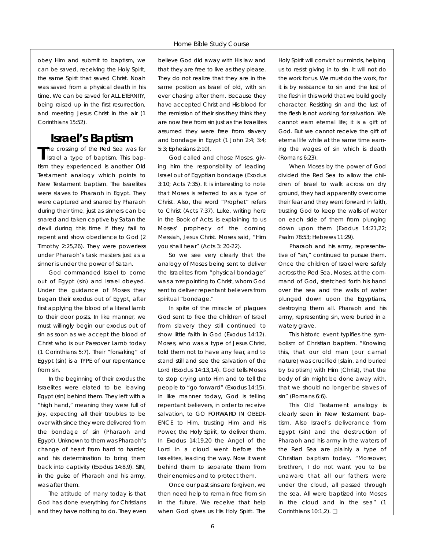obey Him and submit to baptism, we can be saved, receiving the Holy Spirit, the same Spirit that saved Christ. Noah was saved from a physical death in his time. We can be saved for ALL ETERNITY, being raised up in the first resurrection, and meeting Jesus Christ in the air (1 Corinthians 15:52).

## **Israel's Baptism**

The crossing of the Red Sea was for<br>Israel a type of baptism. This bapthe crossing of the Red Sea was for tism they experienced is another Old Testament analogy which points to New Testament baptism. The Israelites were slaves to Pharaoh in Egypt. They were captured and snared by Pharaoh during their time, just as sinners can be snared and taken captive by Satan the devil during this time if they fail to repent and show obedience to God (2 Timothy 2:25,26). They were powerless under Pharaoh's task masters just as a sinner is under the power of Satan.

God commanded Israel to come out of Egypt (sin) and Israel obeyed. Under the guidance of Moses they began their exodus out of Egypt, after first applying the blood of a literal lamb to their door posts. In like manner, we must willingly begin our exodus out of sin as soon as we accept the blood of Christ who is our Passover Lamb today (1 Corinthians 5:7). Their "forsaking" of Egypt (sin) is a TYPE of our repentance from sin.

In the beginning of their exodus the Israelites were elated to be leaving Egypt (sin) behind them. They left with a "high hand," meaning they were full of joy, expecting all their troubles to be over with since they were delivered from the bondage of sin (Pharaoh and Egypt). Unknown to them was Pharaoh's change of heart from hard to harder, and his determination to bring them back into captivity (Exodus 14:8,9). SIN, in the guise of Pharaoh and his army, was after them.

The attitude of many today is that God has done everything for Christians and they have nothing to do. They even believe God did away with His law and that they are free to live as they please. They do not realize that they are in the same position as Israel of old, with sin ever chasing after them. Because they have accepted Christ and His blood for the remission of their sins they think they are now free from sin just as the Israelites assumed they were free from slavery and bondage in Egypt (1 John 2:4; 3:4; 5:3; Ephesians 2:10).

God called and chose Moses, giving him the responsibility of leading Israel out of Egyptian bondage (Exodus 3:10; Acts 7:35). It is interesting to note that Moses is referred to as a type of Christ. Also, the word "Prophet" refers to Christ (Acts 7:37). Luke, writing here in the Book of Acts, is explaining to us Moses' prophecy of the coming Messiah, Jesus Christ. Moses said, "Him you shall hear" (Acts 3: 20-22).

So we see very clearly that the analogy of Moses being sent to deliver the Israelites from "physical bondage" was a TYPE pointing to Christ, whom God sent to deliver repentant believers from spiritual "bondage."

In spite of the miracle of plagues God sent to free the children of Israel from slavery they still continued to show little faith in God (Exodus 14:12). Moses, who was a type of Jesus Christ, told them not to have any fear, and to stand still and see the salvation of the Lord (Exodus 14:13,14). God tells Moses to stop crying unto Him and to tell the people to "go forward" (Exodus 14:15). In like manner today, God is telling repentant believers, in order to receive salvation, to GO FORWARD IN OBEDI-ENCE to Him, trusting Him and His Power, the Holy Spirit, to deliver them. In Exodus 14:19,20 the Angel of the Lord in a cloud went before the Israelites, leading the way. Now it went behind them to separate them from their enemies and to protect them.

Once our past sins are forgiven, we then need help to remain free from sin in the future. We receive that help when God gives us His Holy Spirit. The

Holy Spirit will convict our minds, helping us to resist giving in to sin. It will not do the work for us. We must do the work, for it is by resistance to sin and the lust of the flesh in this world that we build godly character. Resisting sin and the lust of the flesh is not working for salvation. We cannot earn eternal life; it is a gift of God. But we cannot receive the gift of eternal life while at the same time earning the wages of sin which is death (Romans 6:23).

When Moses by the power of God divided the Red Sea to allow the children of Israel to walk across on dry ground, they had apparently overcome their fear and they went forward in faith, trusting God to keep the walls of water on each side of them from plunging down upon them (Exodus 14:21,22; Psalm 78:53; Hebrews 11:29).

Pharaoh and his army, representative of "sin," continued to pursue them. Once the children of Israel were safely across the Red Sea, Moses, at the command of God, stretched forth his hand over the sea and the walls of water plunged down upon the Egyptians, destroying them all. Pharaoh and his army, representing sin, were buried in a watery grave.

This historic event typifies the symbolism of Christian baptism. "Knowing this, that our old man [our carnal nature] was crucified [slain, and buried by baptism] with Him [Christ], that the body of sin might be done away with, that we should no longer be slaves of sin" (Romans 6:6).

This Old Testament analogy is clearly seen in New Testament baptism. Also Israel's deliverance from Egypt (sin) and the destruction of Pharaoh and his army in the waters of the Red Sea are plainly a type of Christian baptism today. "Moreover, brethren, I do not want you to be unaware that all our fathers were under the cloud, all passed through the sea. All were baptized into Moses in the cloud and in the sea" (1 Corinthians 10:1,2). ❏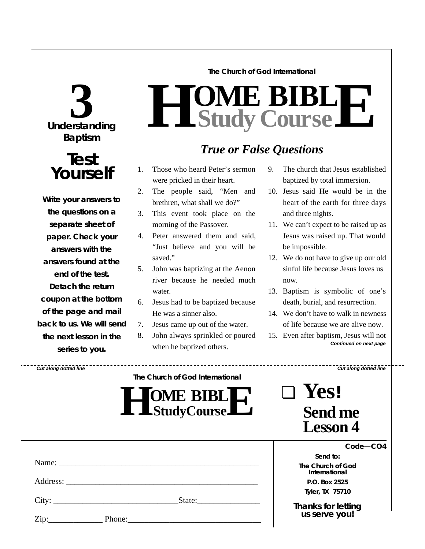#### **The Church of God International**

# **Understanding 3 Baptism**

# **Test Yourself**

**Write your answers to the questions on a separate sheet of paper. Check** *your* **answers with the answers found at the end of the test. Detach the return coupon at the bottom of the page and mail back to us. We will send the next lesson in the series to you.**

# $H$  **Study Study Cour BIB s e L E**

# *True or False Questions*

- 1. Those who heard Peter's sermon were pricked in their heart.
- 2. The people said, "Men and brethren, what shall we do?"
- 3. This event took place on the morning of the Passover.
- 4. Peter answered them and said, "Just believe and you will be saved."
- 5. John was baptizing at the Aenon river because he needed much water.
- 6. Jesus had to be baptized because He was a sinner also.
- 7. Jesus came up out of the water.
- 8. John always sprinkled or poured when he baptized others.
- 9. The church that Jesus established baptized by total immersion.
- 10. Jesus said He would be in the heart of the earth for three days and three nights.
- 11. We can't expect to be raised up as Jesus was raised up. That would be impossible.
- 12. We do not have to give up our old sinful life because Jesus loves us now.
- 13. Baptism is symbolic of one's death, burial, and resurrection.
- 14. We don't have to walk in newness of life because we are alive now.
- 15. Even after baptism, Jesus will not *Continued on next page*

*Cut along dotted line Cut along dotted line*

| The Church of God International |  |
|---------------------------------|--|
|                                 |  |

| <b>TOME BIBLIT</b><br><b>L</b> $\blacksquare$ Study Course $\blacksquare$ |  |
|---------------------------------------------------------------------------|--|
|---------------------------------------------------------------------------|--|

| $\blacksquare$ | Yes!                              |
|----------------|-----------------------------------|
|                | <b>Send me</b><br><b>Lesson 4</b> |

|     | Code-CO4 |  |
|-----|----------|--|
| ィィヘ |          |  |

*Send to:* **The Church of God International P.O. Box 2525 Tyler, TX 75710**

*Thanks for letting us serve you!*

|                            | City: | State: $\frac{1}{\sqrt{1-\frac{1}{2}} \cdot \frac{1}{2}}$                                                                                                                                                                      |  |
|----------------------------|-------|--------------------------------------------------------------------------------------------------------------------------------------------------------------------------------------------------------------------------------|--|
| $\overline{\mathrm{Zip:}}$ |       | Phone: 2008 and 2008 and 2008 and 2008 and 2008 and 2008 and 2008 and 2008 and 2008 and 2008 and 2008 and 2008 and 2008 and 2008 and 2008 and 2008 and 2008 and 2008 and 2008 and 2008 and 2008 and 2008 and 2008 and 2008 and |  |